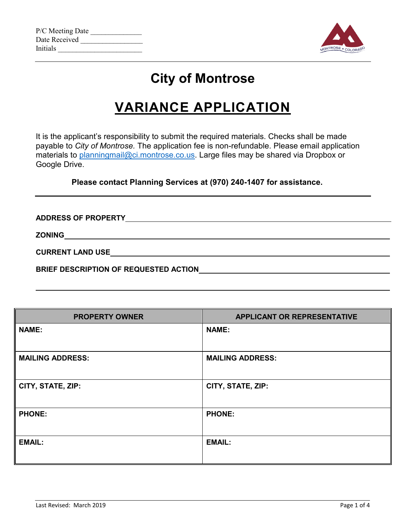| P/C Meeting Date |  |
|------------------|--|
| Date Received    |  |
| <b>Initials</b>  |  |



## **City of Montrose**

# **VARIANCE APPLICATION**

It is the applicant's responsibility to submit the required materials. Checks shall be made payable to *City of Montrose.* The application fee is non-refundable. Please email application materials to [planningmail@ci.montrose.co.us.](mailto:planningmail@ci.montrose.co.us) Large files may be shared via Dropbox or Google Drive.

**Please contact Planning Services at (970) 240-1407 for assistance.**

**ADDRESS OF PROPERTY ZONING CURRENT LAND USE BRIEF DESCRIPTION OF REQUESTED ACTION**

| <b>PROPERTY OWNER</b>   | <b>APPLICANT OR REPRESENTATIVE</b> |
|-------------------------|------------------------------------|
| <b>NAME:</b>            | <b>NAME:</b>                       |
| <b>MAILING ADDRESS:</b> | <b>MAILING ADDRESS:</b>            |
| CITY, STATE, ZIP:       | CITY, STATE, ZIP:                  |
| <b>PHONE:</b>           | <b>PHONE:</b>                      |
| <b>EMAIL:</b>           | <b>EMAIL:</b>                      |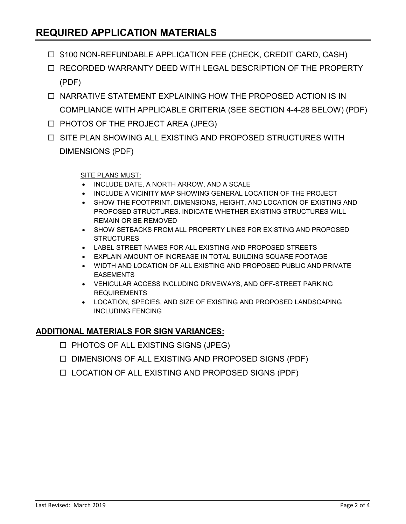### **REQUIRED APPLICATION MATERIALS**

- □ \$100 NON-REFUNDABLE APPLICATION FEE (CHECK, CREDIT CARD, CASH)
- □ RECORDED WARRANTY DEED WITH LEGAL DESCRIPTION OF THE PROPERTY (PDF)
- $\Box$  NARRATIVE STATEMENT EXPLAINING HOW THE PROPOSED ACTION IS IN COMPLIANCE WITH APPLICABLE CRITERIA (SEE SECTION 4-4-28 BELOW) (PDF)
- $\Box$  PHOTOS OF THE PROJECT AREA (JPEG)
- $\Box$  SITE PLAN SHOWING ALL EXISTING AND PROPOSED STRUCTURES WITH DIMENSIONS (PDF)

#### SITE PLANS MUST:

- INCLUDE DATE, A NORTH ARROW, AND A SCALE
- INCLUDE A VICINITY MAP SHOWING GENERAL LOCATION OF THE PROJECT
- SHOW THE FOOTPRINT, DIMENSIONS, HEIGHT, AND LOCATION OF EXISTING AND PROPOSED STRUCTURES. INDICATE WHETHER EXISTING STRUCTURES WILL REMAIN OR BE REMOVED
- SHOW SETBACKS FROM ALL PROPERTY LINES FOR EXISTING AND PROPOSED **STRUCTURES**
- LABEL STREET NAMES FOR ALL EXISTING AND PROPOSED STREETS
- EXPLAIN AMOUNT OF INCREASE IN TOTAL BUILDING SQUARE FOOTAGE
- WIDTH AND LOCATION OF ALL EXISTING AND PROPOSED PUBLIC AND PRIVATE EASEMENTS
- VEHICULAR ACCESS INCLUDING DRIVEWAYS, AND OFF-STREET PARKING REQUIREMENTS
- LOCATION, SPECIES, AND SIZE OF EXISTING AND PROPOSED LANDSCAPING INCLUDING FENCING

#### **ADDITIONAL MATERIALS FOR SIGN VARIANCES:**

- $\Box$  PHOTOS OF ALL EXISTING SIGNS (JPEG)
- $\square$  DIMENSIONS OF ALL EXISTING AND PROPOSED SIGNS (PDF)
- LOCATION OF ALL EXISTING AND PROPOSED SIGNS (PDF)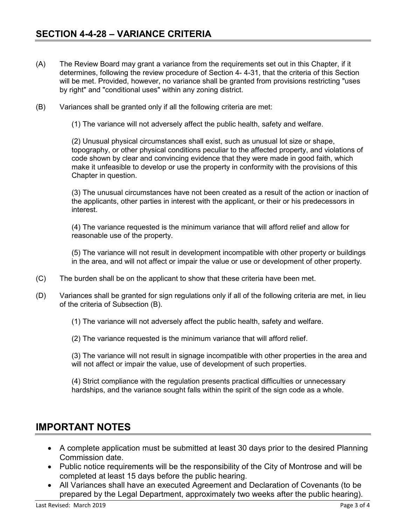- (A) The Review Board may grant a variance from the requirements set out in this Chapter, if it determines, following the review procedure of Section 4- 4-31, that the criteria of this Section will be met. Provided, however, no variance shall be granted from provisions restricting "uses by right" and "conditional uses" within any zoning district.
- (B) Variances shall be granted only if all the following criteria are met:
	- (1) The variance will not adversely affect the public health, safety and welfare.

(2) Unusual physical circumstances shall exist, such as unusual lot size or shape, topography, or other physical conditions peculiar to the affected property, and violations of code shown by clear and convincing evidence that they were made in good faith, which make it unfeasible to develop or use the property in conformity with the provisions of this Chapter in question.

(3) The unusual circumstances have not been created as a result of the action or inaction of the applicants, other parties in interest with the applicant, or their or his predecessors in interest.

(4) The variance requested is the minimum variance that will afford relief and allow for reasonable use of the property.

(5) The variance will not result in development incompatible with other property or buildings in the area, and will not affect or impair the value or use or development of other property.

- (C) The burden shall be on the applicant to show that these criteria have been met.
- (D) Variances shall be granted for sign regulations only if all of the following criteria are met, in lieu of the criteria of Subsection (B).
	- (1) The variance will not adversely affect the public health, safety and welfare.
	- (2) The variance requested is the minimum variance that will afford relief.

(3) The variance will not result in signage incompatible with other properties in the area and will not affect or impair the value, use of development of such properties.

(4) Strict compliance with the regulation presents practical difficulties or unnecessary hardships, and the variance sought falls within the spirit of the sign code as a whole.

### **IMPORTANT NOTES**

- A complete application must be submitted at least 30 days prior to the desired Planning Commission date.
- Public notice requirements will be the responsibility of the City of Montrose and will be completed at least 15 days before the public hearing.
- All Variances shall have an executed Agreement and Declaration of Covenants (to be prepared by the Legal Department, approximately two weeks after the public hearing).